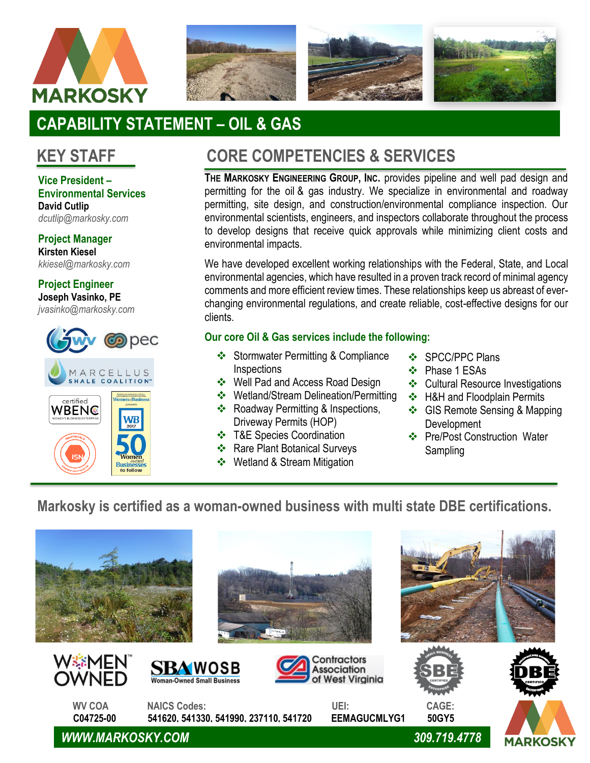



# **CAPABILITY STATEMENT – OIL & GAS**

# **KEY STAFF**

**Vice President – Environmental Services David Cutlip**  *dcutlip@markosky.com*

**Project Manager Kirsten Kiesel**

*kkiesel@markosky.com*

**Project Engineer Joseph Vasinko, PE**

*jvasinko@markosky.com*



# **CORE COMPETENCIES & SERVICES**

**THE MARKOSKY ENGINEERING GROUP, INC.** provides pipeline and well pad design and permitting for the oil & gas industry. We specialize in environmental and roadway permitting, site design, and construction/environmental compliance inspection. Our environmental scientists, engineers, and inspectors collaborate throughout the process to develop designs that receive quick approvals while minimizing client costs and environmental impacts.

We have developed excellent working relationships with the Federal, State, and Local environmental agencies, which have resulted in a proven track record of minimal agency comments and more efficient review times. These relationships keep us abreast of everchanging environmental regulations, and create reliable, cost-effective designs for our clients.

## **Our core Oil & Gas services include the following:**

- ❖ Stormwater Permitting & Compliance **Inspections**
- ❖ Well Pad and Access Road Design
- ❖ Wetland/Stream Delineation/Permitting
- ❖ Roadway Permitting & Inspections, Driveway Permits (HOP)
- ❖ T&E Species Coordination
- ❖ Rare Plant Botanical Surveys
- ❖ Wetland & Stream Mitigation Design/Monitoring
- ❖ SPCC/PPC Plans
- ❖ Phase 1 ESAs
- ❖ Cultural Resource Investigations
- ❖ H&H and Floodplain Permits
- ❖ GIS Remote Sensing & Mapping **Development**
- ❖ Pre/Post Construction Water Sampling

## **Markosky is certified as a woman-owned business with multi state DBE certifications.**